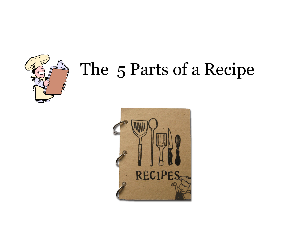

# The 5 Parts of a Recipe

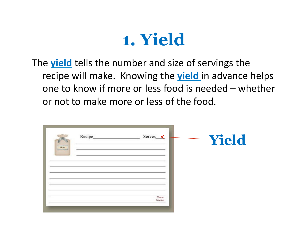

The **yield** tells the number and size of servings the recipe will make. Knowing the **yield** in advance helps one to know if more or less food is needed – whether or not to make more or less of the food.

| $\begin{tabular}{ c c } \hline \quad \quad & How \quad \quad \\ \hline \quad \quad & How \quad \quad \\ \hline \end{tabular}$ | Recipe | Serves_<br>←     | Yield |
|-------------------------------------------------------------------------------------------------------------------------------|--------|------------------|-------|
|                                                                                                                               |        |                  |       |
|                                                                                                                               |        | Meuse<br>Country |       |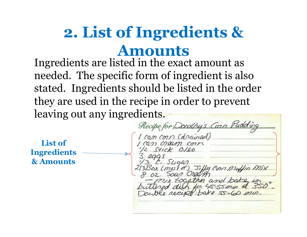## **2. List of Ingredients & Amounts**

Ingredients are listed in the exact amount as needed. The specific form of ingredient is also stated. Ingredients should be listed in the order they are used in the recipe in order to prevent leaving out any ingredients.

**List of Ingredients & Amounts** 

Recipe for Dorothy's Corp Pudding can corn (drained) Jilly Con Mullin Mix and in 45-55 min at 50 were receipt: bake 55-60 min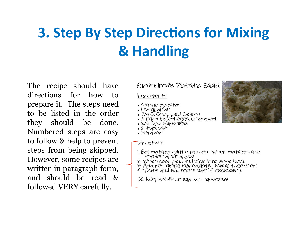## **3. Step By Step Directions for Mixing &** Handling

The recipe should have directions for how to prepare it. The steps need to be listed in the order they should be done. Numbered steps are easy to follow & help to prevent steps from being skipped. However, some recipes are written in paragraph form, and should be read & followed VERY carefully.

#### Crandmas Potato Salad

haredients

- . 4 large potatos
- · I small onion
- . 3/4 C. Chopped Celery
- . 2 hard boiled eggs, Chopped
- . 2/3 Cup Mayonaise
- $.2$  tsp. salt
- · Pepper

Directions

- I. Boil potatos with skins on. When potatos are tender drain & cool.
- 
- 2. When cool, peel and sice into large bowl.<br>3. Add remaining ingrediants. Mix all together.<br>4. Taste and add more salt if necessary.
- 

DO NOT SKIMP on salt or mayoraise!

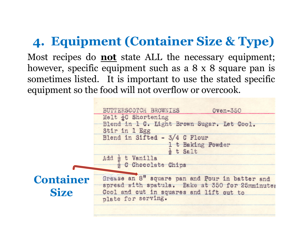#### **4. Equipment (Container Size & Type)**

Most recipes do **not** state ALL the necessary equipment; however, specific equipment such as a 8 x 8 square pan is sometimes listed. It is important to use the stated specific equipment so the food will not overflow or overcook.

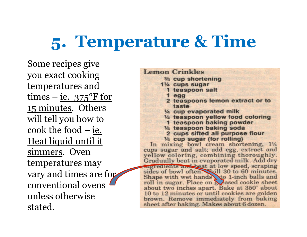# **5. Temperature & Time**

Some recipes give you exact cooking temperatures and times – ie.  $375^{\circ}$ F for 15 minutes. Others will tell you how to cook the food – ie. Heat liquid until it simmers. Oven temperatures may vary and times are for conventional ovens unless otherwise stated.

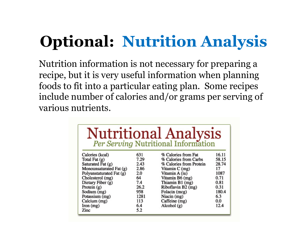# **Optional: Nutrition Analysis**

Nutrition information is not necessary for preparing a recipe, but it is very useful information when planning foods to fit into a particular eating plan. Some recipes include number of calories and/or grams per serving of various nutrients.

| <b>Nutritional Analysis</b><br>Per Serving Nutritional Information |      |                         |       |  |  |
|--------------------------------------------------------------------|------|-------------------------|-------|--|--|
| Calories (kcal)                                                    | 631  | % Calories from Fat     | 16.11 |  |  |
| Total Fat $(g)$                                                    | 7.29 | % Calories from Carbs   | 58.15 |  |  |
| Saturated $\bar{F}$ at $(g)$                                       | 2.43 | % Calories from Protein | 28.74 |  |  |
| Monounsaturated Fat (g)                                            | 2.86 | Vitamin C (mg)          | 17    |  |  |
| Polyunstaturated Fat (g)                                           | 2.0  | Vitamin A (iu)          | 1087  |  |  |
| Cholesterol (mg)                                                   | 64   | Vitamin B6 (mg)         | 0.71  |  |  |
| Dietary Fiber (g)                                                  | 7.4  | Thiamin B1 (mg)         | 0.81  |  |  |
| Protein $(g)$                                                      | 26.2 | Riboflavin B2 (mg)      | 0.31  |  |  |
| Sodium (mg)                                                        | 958  | Folacin (mcg)           | 180.4 |  |  |
| Potassium (mg)                                                     | 1281 | Niacin (mg)             | 6.3   |  |  |
| Calcium (mg)                                                       | 113  | Caffeine (mg)           | 0.0   |  |  |
| Inom(mg)                                                           | 6.4  | Alcohol $(g)$           | 12.4  |  |  |
| Zinc                                                               | 5.2  |                         |       |  |  |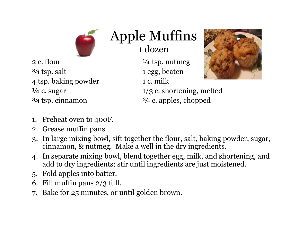

## Apple Muffins

1 dozen

2 c. flour  $\frac{1}{4}$  tsp. nutmeg ¾ tsp. salt 1 egg, beaten 4 tsp. baking powder 1 c. milk  $\frac{3}{4}$  tsp. cinnamon  $\frac{3}{4}$  c. apples, chopped



<sup> $1/4$ </sup> c. sugar  $1/3$  c. shortening, melted

- 1. Preheat oven to 400F.
- 2. Grease muffin pans.
- 3. In large mixing bowl, sift together the flour, salt, baking powder, sugar, cinnamon, & nutmeg. Make a well in the dry ingredients.
- 4. In separate mixing bowl, blend together egg, milk, and shortening, and add to dry ingredients; stir until ingredients are just moistened.
- 5. Fold apples into batter.
- 6. Fill muffin pans  $2/3$  full.
- 7. Bake for 25 minutes, or until golden brown.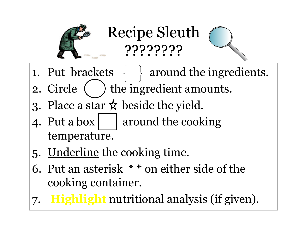

Recipe Sleuth ????????

- 1. Put brackets  $\{ \}$  around the ingredients.
- 2. Circle ( ) the ingredient amounts.
- 3. Place a star  $\hat{\mathbf{x}}$  beside the yield.
- 4. Put a box  $\vert$  around the cooking temperature.
- 5. Underline the cooking time.
- 6. Put an asterisk \* \* on either side of the cooking container.
- 7. **Highlight** nutritional analysis (if given).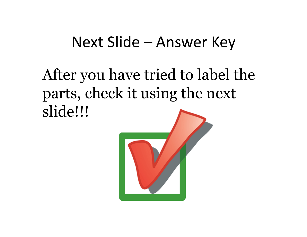### Next Slide – Answer Key

After you have tried to label the parts, check it using the next slide!!!